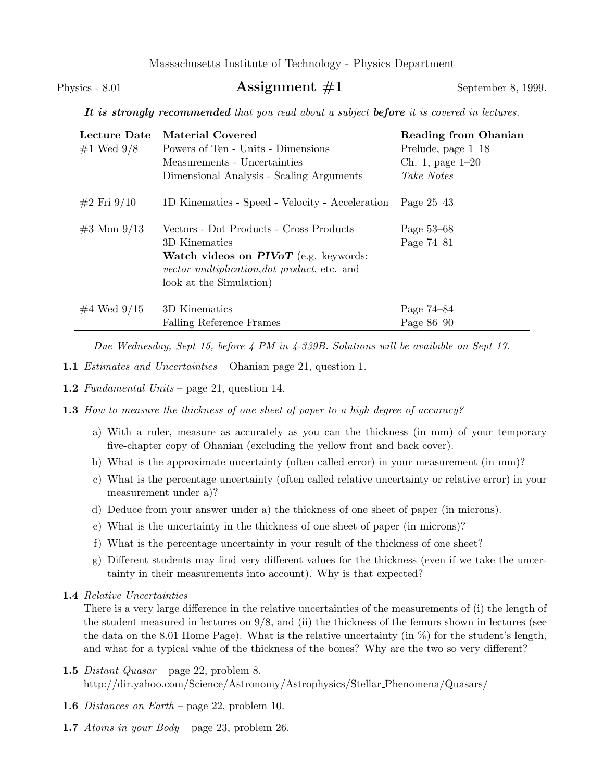Massachusetts Institute of Technology - Physics Department

## Physics - 8.01 **Assignment**  $\#1$  September 8, 1999.

It is strongly recommended that you read about a subject before it is covered in lectures.

| Lecture Date    | <b>Material Covered</b>                             | <b>Reading from Ohanian</b> |
|-----------------|-----------------------------------------------------|-----------------------------|
| #1 Wed $9/8$    | Powers of Ten - Units - Dimensions                  | Prelude, page $1-18$        |
|                 | Measurements - Uncertainties                        | Ch. 1, page $1-20$          |
|                 | Dimensional Analysis - Scaling Arguments            | Take Notes                  |
| $#2$ Fri $9/10$ | 1D Kinematics - Speed - Velocity - Acceleration     | Page $25-43$                |
| $#3$ Mon $9/13$ | Vectors - Dot Products - Cross Products             | Page 53–68                  |
|                 | 3D Kinematics                                       | Page 74-81                  |
|                 | <b>Watch videos on PIVoT</b> (e.g. keywords:        |                             |
|                 | <i>vector multiplication, dot product, etc.</i> and |                             |
|                 | look at the Simulation)                             |                             |
| $#4$ Wed $9/15$ | 3D Kinematics                                       | Page 74–84                  |
|                 | Falling Reference Frames                            | Page $86-90$                |

Due Wednesday, Sept 15, before 4 PM in 4-339B. Solutions will be available on Sept 17.

- 1.1 Estimates and Uncertainties Ohanian page 21, question 1.
- 1.2 Fundamental Units page 21, question 14.
- **1.3** How to measure the thickness of one sheet of paper to a high degree of accuracy?
	- a) With a ruler, measure as accurately as you can the thickness (in mm) of your temporary five-chapter copy of Ohanian (excluding the yellow front and back cover).
	- b) What is the approximate uncertainty (often called error) in your measurement (in mm)?
	- c) What is the percentage uncertainty (often called relative uncertainty or relative error) in your measurement under a)?
	- d) Deduce from your answer under a) the thickness of one sheet of paper (in microns).
	- e) What is the uncertainty in the thickness of one sheet of paper (in microns)?
	- f) What is the percentage uncertainty in your result of the thickness of one sheet?
	- g) Different students may find very different values for the thickness (even if we take the uncertainty in their measurements into account). Why is that expected?
- 1.4 Relative Uncertainties

There is a very large difference in the relative uncertainties of the measurements of (i) the length of the student measured in lectures on 9/8, and (ii) the thickness of the femurs shown in lectures (see the data on the 8.01 Home Page). What is the relative uncertainty (in  $\%$ ) for the student's length, and what for a typical value of the thickness of the bones? Why are the two so very different?

- 1.5 Distant Quasar page 22, problem 8. http://dir.yahoo.com/Science/Astronomy/Astrophysics/Stellar Phenomena/Quasars/
- 1.6 Distances on Earth page 22, problem 10.
- 1.7 Atoms in your Body page 23, problem 26.